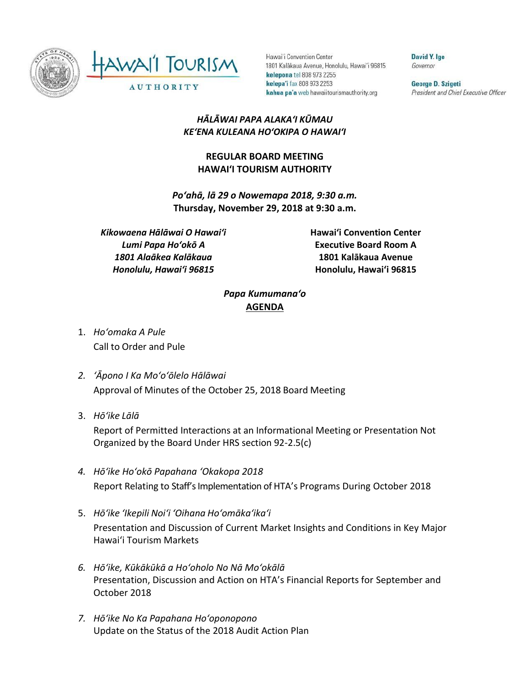



Hawai'i Convention Center 1801 Kalākaua Avenue, Honolulu, Hawai'i 96815 kelepona tel 808 973 2255 kelepa'i fax 808 973 2253 kahua pa'a web hawaiitourismauthority.org

David Y. Ige Governor

George D. Szigeti President and Chief Executive Officer

## *HĀLĀWAI PAPA ALAKAʻI KŪMAU KEʻENA KULEANA HOʻOKIPA O HAWAIʻI*

## **REGULAR BOARD MEETING HAWAI'I TOURISM AUTHORITY**

*Poʻahā, lā 29 o Nowemapa 2018, 9:30 a.m.* **Thursday, November 29, 2018 at 9:30 a.m.**

*Kikowaena Hālāwai O Hawaiʻi Lumi Papa Hoʻokō A 1801 Alaākea Kalākaua Honolulu, Hawaiʻi 96815*

**Hawai'i Convention Center Executive Board Room A 1801 Kalākaua Avenue Honolulu, Hawai'i 96815**

## *Papa Kumumanaʻo* **AGENDA**

- 1. *Ho'omaka A Pule* Call to Order and Pule
- *2. ʻĀpono I Ka Moʻoʻōlelo Hālāwai* Approval of Minutes of the October 25, 2018 Board Meeting
- 3. *Hō'ike Lālā*

Report of Permitted Interactions at an Informational Meeting or Presentation Not Organized by the Board Under HRS section 92-2.5(c)

- *4. Hōʻike Hoʻokō Papahana ʻOkakopa 2018* Report Relating to Staff's Implementation of HTA's Programs During October 2018
- 5. *Hō'ike 'Ikepili Noi'i 'Oihana Ho'omāka'ika'i* Presentation and Discussion of Current Market Insights and Conditions in Key Major Hawai'i Tourism Markets
- *6. Hōʻike, Kūkākūkā a Hoʻoholo No Nā Moʻokālā* Presentation, Discussion and Action on HTA's Financial Reports for September and October 2018
- *7. Hōʻike No Ka Papahana Hoʻoponopono* Update on the Status of the 2018 Audit Action Plan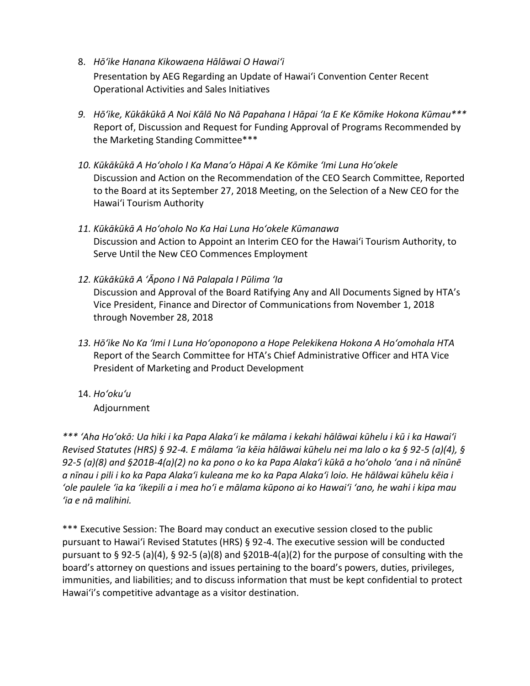- 8. *Hōʻike Hanana Kikowaena Hālāwai O Hawaiʻi* Presentation by AEG Regarding an Update of Hawai'i Convention Center Recent Operational Activities and Sales Initiatives
- *9. Hōʻike, Kūkākūkā A Noi Kālā No Nā Papahana I Hāpai ʻIa E Ke Kōmike Hokona Kūmau\*\*\** Report of, Discussion and Request for Funding Approval of Programs Recommended by the Marketing Standing Committee\*\*\*
- *10. Kūkākūkā A Hoʻoholo I Ka Manaʻo Hāpai A Ke Kōmike ʻImi Luna Hoʻokele* Discussion and Action on the Recommendation of the CEO Search Committee, Reported to the Board at its September 27, 2018 Meeting, on the Selection of a New CEO for the Hawai'i Tourism Authority
- *11. Kūkākūkā A Hoʻoholo No Ka Hai Luna Hoʻokele Kūmanawa* Discussion and Action to Appoint an Interim CEO for the Hawai'i Tourism Authority, to Serve Until the New CEO Commences Employment
- *12. Kūkākūkā A ʻĀpono I Nā Palapala I Pūlima ʻIa* Discussion and Approval of the Board Ratifying Any and All Documents Signed by HTA's Vice President, Finance and Director of Communications from November 1, 2018 through November 28, 2018
- *13. Hōʻike No Ka ʻImi I Luna Hoʻoponopono a Hope Pelekikena Hokona A Hoʻomohala HTA* Report of the Search Committee for HTA's Chief Administrative Officer and HTA Vice President of Marketing and Product Development
- 14. *Ho'oku'u*

Adjournment

*\*\*\* ʻAha Hoʻokō: Ua hiki i ka Papa Alakaʻi ke mālama i kekahi hālāwai kūhelu i kū i ka Hawaiʻi Revised Statutes (HRS) § 92-4. E mālama ʻia kēia hālāwai kūhelu nei ma lalo o ka § 92-5 (a)(4), § 92-5 (a)(8) and §201B-4(a)(2) no ka pono o ko ka Papa Alakaʻi kūkā a hoʻoholo ʻana i nā nīnūnē a nīnau i pili i ko ka Papa Alakaʻi kuleana me ko ka Papa Alakaʻi loio. He hālāwai kūhelu kēia i ʻole paulele ʻia ka ʻikepili a i mea hoʻi e mālama kūpono ai ko Hawaiʻi ʻano, he wahi i kipa mau ʻia e nā malihini.*

\*\*\* Executive Session: The Board may conduct an executive session closed to the public pursuant to Hawai'i Revised Statutes (HRS) § 92-4. The executive session will be conducted pursuant to § 92-5 (a)(4), § 92-5 (a)(8) and §201B-4(a)(2) for the purpose of consulting with the board's attorney on questions and issues pertaining to the board's powers, duties, privileges, immunities, and liabilities; and to discuss information that must be kept confidential to protect Hawai'i's competitive advantage as a visitor destination.